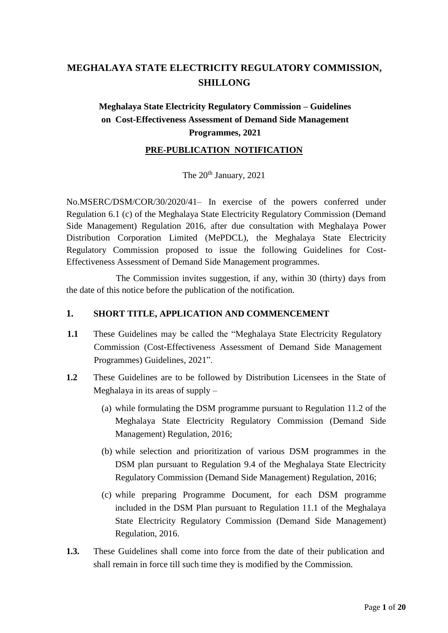## **MEGHALAYA STATE ELECTRICITY REGULATORY COMMISSION, SHILLONG**

## **Meghalaya State Electricity Regulatory Commission – Guidelines on Cost-Effectiveness Assessment of Demand Side Management Programmes, 2021**

#### **PRE-PUBLICATION NOTIFICATION**

The  $20^{th}$  January,  $2021$ 

 Regulation 6.1 (c) of the Meghalaya State Electricity Regulatory Commission (Demand Side Management) Regulation 2016, after due consultation with Meghalaya Power No.MSERC/DSM/COR/30/2020/41– In exercise of the powers conferred under Distribution Corporation Limited (MePDCL), the Meghalaya State Electricity Regulatory Commission proposed to issue the following Guidelines for Cost-Effectiveness Assessment of Demand Side Management programmes.

The Commission invites suggestion, if any, within 30 (thirty) days from the date of this notice before the publication of the notification.

#### **1. SHORT TITLE, APPLICATION AND COMMENCEMENT**

- **1.1** These Guidelines may be called the "Meghalaya State Electricity Regulatory Commission (Cost-Effectiveness Assessment of Demand Side Management Programmes) Guidelines, 2021".
- **1.2** These Guidelines are to be followed by Distribution Licensees in the State of Meghalaya in its areas of supply –
	- (a) while formulating the DSM programme pursuant to Regulation 11.2 of the Meghalaya State Electricity Regulatory Commission (Demand Side Management) Regulation, 2016;
	- (b) while selection and prioritization of various DSM programmes in the DSM plan pursuant to Regulation 9.4 of the Meghalaya State Electricity Regulatory Commission (Demand Side Management) Regulation, 2016;
	- (c) while preparing Programme Document, for each DSM programme included in the DSM Plan pursuant to Regulation 11.1 of the Meghalaya State Electricity Regulatory Commission (Demand Side Management) Regulation, 2016.
- **1.3.** These Guidelines shall come into force from the date of their publication and shall remain in force till such time they is modified by the Commission.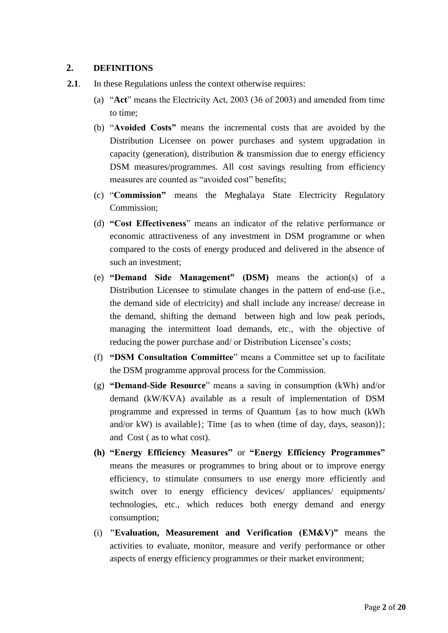#### **2. DEFINITIONS**

- **2.1**. In these Regulations unless the context otherwise requires:
	- (a) "**Act**" means the Electricity Act, 2003 (36 of 2003) and amended from time to time;
	- (b) "**Avoided Costs"** means the incremental costs that are avoided by the capacity (generation), distribution  $\&$  transmission due to energy efficiency Distribution Licensee on power purchases and system upgradation in DSM measures/programmes. All cost savings resulting from efficiency measures are counted as "avoided cost" benefits;
	- (c) "**Commission"** means the Meghalaya State Electricity Regulatory Commission;
	- (d) **"Cost Effectiveness**" means an indicator of the relative performance or economic attractiveness of any investment in DSM programme or when compared to the costs of energy produced and delivered in the absence of such an investment;
	- (e) **"Demand Side Management" (DSM)** means the action(s) of a the demand side of electricity) and shall include any increase/ decrease in the demand, shifting the demand between high and low peak periods, managing the intermittent load demands, etc., with the objective of Distribution Licensee to stimulate changes in the pattern of end-use (i.e., reducing the power purchase and/ or Distribution Licensee's costs;
	- (f) **"DSM Consultation Committee**" means a Committee set up to facilitate the DSM programme approval process for the Commission.
	- (g) **"Demand-Side Resource**" means a saving in consumption (kWh) and/or demand (kW/KVA) available as a result of implementation of DSM programme and expressed in terms of Quantum {as to how much (kWh and/or kW) is available}; Time {as to when (time of day, days, season)}; and Cost ( as to what cost).
	- means the measures or programmes to bring about or to improve energy efficiency, to stimulate consumers to use energy more efficiently and switch over to energy efficiency devices/ appliances/ equipments/ **(h) "Energy Efficiency Measures"** or **"Energy Efficiency Programmes"** technologies, etc., which reduces both energy demand and energy consumption;
	- activities to evaluate, monitor, measure and verify performance or other (i) **"Evaluation, Measurement and Verification (EM&V)"** means the aspects of energy efficiency programmes or their market environment;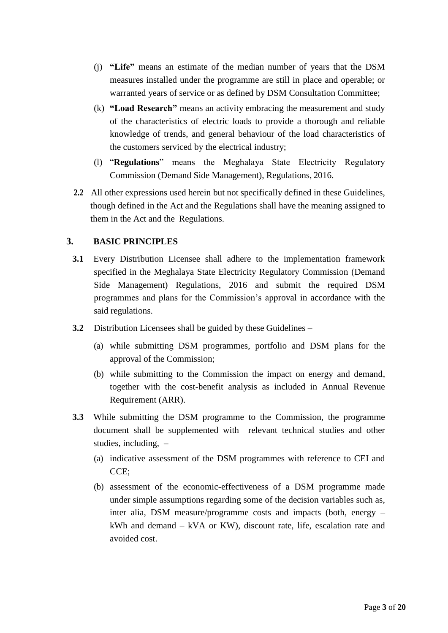- measures installed under the programme are still in place and operable; or (j) **"Life"** means an estimate of the median number of years that the DSM warranted years of service or as defined by DSM Consultation Committee;
- (k) **"Load Research"** means an activity embracing the measurement and study of the characteristics of electric loads to provide a thorough and reliable knowledge of trends, and general behaviour of the load characteristics of the customers serviced by the electrical industry;
- (l) "**Regulations**" means the Meghalaya State Electricity Regulatory Commission (Demand Side Management), Regulations, 2016.
- **2.2** All other expressions used herein but not specifically defined in these Guidelines, though defined in the Act and the Regulations shall have the meaning assigned to them in the Act and the Regulations.

#### **3. BASIC PRINCIPLES**

- **3.1** Every Distribution Licensee shall adhere to the implementation framework specified in the Meghalaya State Electricity Regulatory Commission (Demand Side Management) Regulations, 2016 and submit the required DSM programmes and plans for the Commission's approval in accordance with the said regulations.
- **3.2** Distribution Licensees shall be guided by these Guidelines
	- (a) while submitting DSM programmes, portfolio and DSM plans for the approval of the Commission;
	- (b) while submitting to the Commission the impact on energy and demand, together with the cost-benefit analysis as included in Annual Revenue Requirement (ARR).
- **3.3** While submitting the DSM programme to the Commission, the programme document shall be supplemented with relevant technical studies and other studies, including, –
	- (a) indicative assessment of the DSM programmes with reference to CEI and CCE;
	- (b) assessment of the economic-effectiveness of a DSM programme made under simple assumptions regarding some of the decision variables such as, inter alia, DSM measure/programme costs and impacts (both, energy – kWh and demand – kVA or KW), discount rate, life, escalation rate and avoided cost.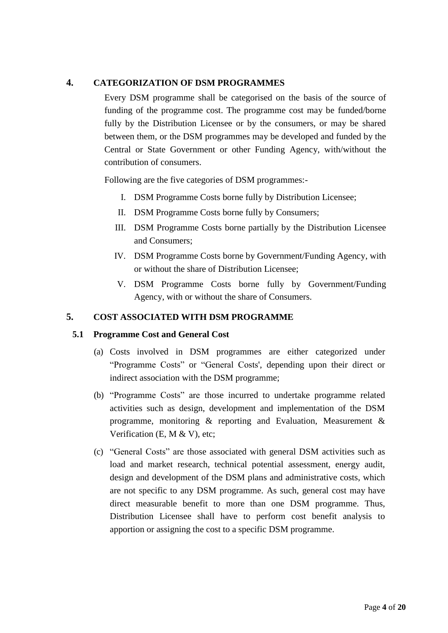#### **4. CATEGORIZATION OF DSM PROGRAMMES**

 Every DSM programme shall be categorised on the basis of the source of funding of the programme cost. The programme cost may be funded/borne fully by the Distribution Licensee or by the consumers, or may be shared between them, or the DSM programmes may be developed and funded by the Central or State Government or other Funding Agency, with/without the contribution of consumers.

Following are the five categories of DSM programmes:-

- I. DSM Programme Costs borne fully by Distribution Licensee;
- II. DSM Programme Costs borne fully by Consumers;
- III. DSM Programme Costs borne partially by the Distribution Licensee and Consumers;
- IV. DSM Programme Costs borne by Government/Funding Agency, with or without the share of Distribution Licensee;
- V. DSM Programme Costs borne fully by Government/Funding Agency, with or without the share of Consumers.

#### **5. COST ASSOCIATED WITH DSM PROGRAMME**

#### **5.1 Programme Cost and General Cost**

- "Programme Costs" or "General Costs', depending upon their direct or (a) Costs involved in DSM programmes are either categorized under indirect association with the DSM programme;
- (b) "Programme Costs" are those incurred to undertake programme related activities such as design, development and implementation of the DSM programme, monitoring & reporting and Evaluation, Measurement & Verification (E, M & V), etc;
- (c) "General Costs" are those associated with general DSM activities such as load and market research, technical potential assessment, energy audit, are not specific to any DSM programme. As such, general cost may have direct measurable benefit to more than one DSM programme. Thus, Distribution Licensee shall have to perform cost benefit analysis to design and development of the DSM plans and administrative costs, which apportion or assigning the cost to a specific DSM programme.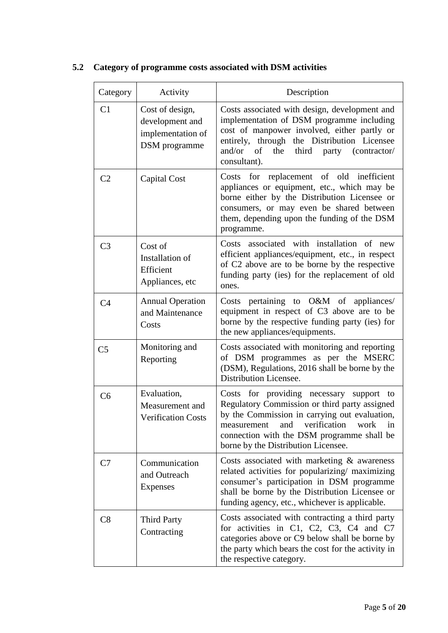| Category       | Activity                                                                 | Description                                                                                                                                                                                                                                                                            |
|----------------|--------------------------------------------------------------------------|----------------------------------------------------------------------------------------------------------------------------------------------------------------------------------------------------------------------------------------------------------------------------------------|
| C1             | Cost of design,<br>development and<br>implementation of<br>DSM programme | Costs associated with design, development and<br>implementation of DSM programme including<br>cost of manpower involved, either partly or<br>entirely, through the Distribution Licensee<br>and/or<br>of<br>the<br>third<br>party<br>(contractor/<br>consultant).                      |
| C <sub>2</sub> | Capital Cost                                                             | replacement of old inefficient<br>for<br>Costs<br>appliances or equipment, etc., which may be<br>borne either by the Distribution Licensee or<br>consumers, or may even be shared between<br>them, depending upon the funding of the DSM<br>programme.                                 |
| C <sub>3</sub> | Cost of<br>Installation of<br>Efficient<br>Appliances, etc               | associated with installation of new<br><b>Costs</b><br>efficient appliances/equipment, etc., in respect<br>of C2 above are to be borne by the respective<br>funding party (ies) for the replacement of old<br>ones.                                                                    |
| C <sub>4</sub> | <b>Annual Operation</b><br>and Maintenance<br>Costs                      | Costs pertaining to O&M of appliances/<br>equipment in respect of C3 above are to be<br>borne by the respective funding party (ies) for<br>the new appliances/equipments.                                                                                                              |
| C <sub>5</sub> | Monitoring and<br>Reporting                                              | Costs associated with monitoring and reporting<br>of DSM programmes as per the MSERC<br>(DSM), Regulations, 2016 shall be borne by the<br>Distribution Licensee.                                                                                                                       |
| C <sub>6</sub> | Evaluation,<br>Measurement and<br>Verification Costs                     | Costs for providing necessary support<br>to<br>Regulatory Commission or third party assigned<br>by the Commission in carrying out evaluation,<br>and<br>verification<br>work<br>measurement<br>in<br>connection with the DSM programme shall be<br>borne by the Distribution Licensee. |
| C7             | Communication<br>and Outreach<br><b>Expenses</b>                         | Costs associated with marketing $\&$ awareness<br>related activities for popularizing/ maximizing<br>consumer's participation in DSM programme<br>shall be borne by the Distribution Licensee or<br>funding agency, etc., whichever is applicable.                                     |
| C8             | <b>Third Party</b><br>Contracting                                        | Costs associated with contracting a third party<br>for activities in C1, C2, C3, C4 and C7<br>categories above or C9 below shall be borne by<br>the party which bears the cost for the activity in<br>the respective category.                                                         |

## **5.2 Category of programme costs associated with DSM activities**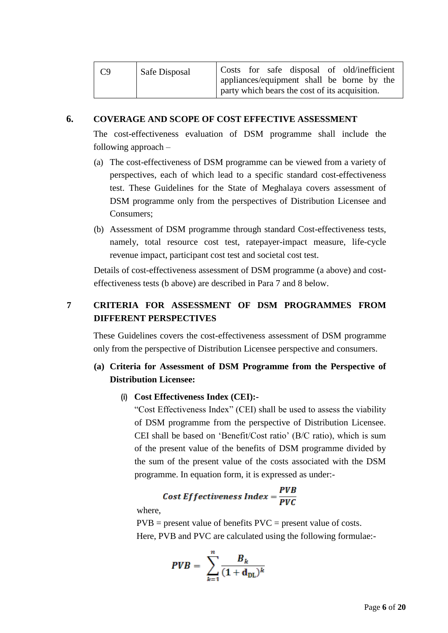| C9 | Safe Disposal | Costs for safe disposal of old/inefficient                                                   |
|----|---------------|----------------------------------------------------------------------------------------------|
|    |               | appliances/equipment shall be borne by the<br>party which bears the cost of its acquisition. |

#### **6. COVERAGE AND SCOPE OF COST EFFECTIVE ASSESSMENT**

 The cost-effectiveness evaluation of DSM programme shall include the following approach –

- (a) The cost-effectiveness of DSM programme can be viewed from a variety of perspectives, each of which lead to a specific standard cost-effectiveness test. These Guidelines for the State of Meghalaya covers assessment of DSM programme only from the perspectives of Distribution Licensee and Consumers;
- (b) Assessment of DSM programme through standard Cost-effectiveness tests, namely, total resource cost test, ratepayer-impact measure, life-cycle revenue impact, participant cost test and societal cost test.

Details of cost-effectiveness assessment of DSM programme (a above) and costeffectiveness tests (b above) are described in Para 7 and 8 below.

## **7 CRITERIA FOR ASSESSMENT OF DSM PROGRAMMES FROM DIFFERENT PERSPECTIVES**

 These Guidelines covers the cost-effectiveness assessment of DSM programme only from the perspective of Distribution Licensee perspective and consumers.

## **(a) Criteria for Assessment of DSM Programme from the Perspective of Distribution Licensee:**

#### **(i) Cost Effectiveness Index (CEI):-**

 "Cost Effectiveness Index" (CEI) shall be used to assess the viability CEI shall be based on 'Benefit/Cost ratio' (B/C ratio), which is sum of the present value of the benefits of DSM programme divided by of DSM programme from the perspective of Distribution Licensee. the sum of the present value of the costs associated with the DSM programme. In equation form, it is expressed as under:-

# Cost Effectiveness Index =  $\frac{PVB}{PVC}$

where,

 $PVB = present$  value of benefits  $PVC = present$  value of costs.

Here, PVB and PVC are calculated using the following formulae:-

$$
PVB = \sum_{k=1}^{n} \frac{B_k}{(1+\mathbf{d}_{\text{DL}})^k}
$$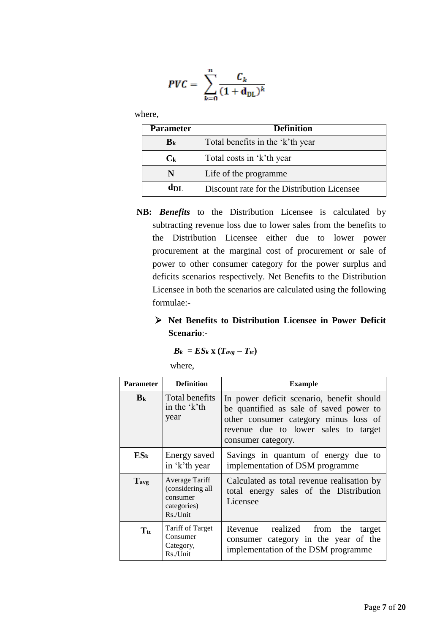$$
PVC = \sum_{k=0}^{n} \frac{C_k}{(1+\mathbf{d}_{\mathrm{DL}})^k}
$$

where,

| <b>Parameter</b>          | <b>Definition</b>                           |  |
|---------------------------|---------------------------------------------|--|
| B <sub>k</sub>            | Total benefits in the 'k'th year            |  |
| $\mathbf{C}_{\mathbf{k}}$ | Total costs in 'k'th year                   |  |
| N                         | Life of the programme                       |  |
| d <sub>DL</sub>           | Discount rate for the Distribution Licensee |  |

- subtracting revenue loss due to lower sales from the benefits to the Distribution Licensee either due to lower power procurement at the marginal cost of procurement or sale of power to other consumer category for the power surplus and **NB:** *Benefits* to the Distribution Licensee is calculated by deficits scenarios respectively. Net Benefits to the Distribution Licensee in both the scenarios are calculated using the following formulae:-
	- **Net Benefits to Distribution Licensee in Power Deficit Scenario**:-

$$
B_k = ES_k \mathbf{X} (T_{avg} - T_{tc})
$$

where,

| <b>Parameter</b> | <b>Definition</b>                                                           | <b>Example</b>                                                                                                                                                                              |
|------------------|-----------------------------------------------------------------------------|---------------------------------------------------------------------------------------------------------------------------------------------------------------------------------------------|
| B <sub>k</sub>   | Total benefits<br>in the 'k'th<br>year                                      | In power deficit scenario, benefit should<br>be quantified as sale of saved power to<br>other consumer category minus loss of<br>revenue due to lower sales to target<br>consumer category. |
| $ES_{k}$         | Energy saved<br>in 'k'th year                                               | Savings in quantum of energy due to<br>implementation of DSM programme                                                                                                                      |
| $T_{avg}$        | Average Tariff<br>(considering all<br>consumer<br>categories)<br>$Rs/J$ nit | Calculated as total revenue realisation by<br>total energy sales of the Distribution<br>Licensee                                                                                            |
| $T_{\rm tc}$     | <b>Tariff of Target</b><br>Consumer<br>Category,<br>Rs./Unit                | Revenue realized from the target<br>consumer category in the year of the<br>implementation of the DSM programme                                                                             |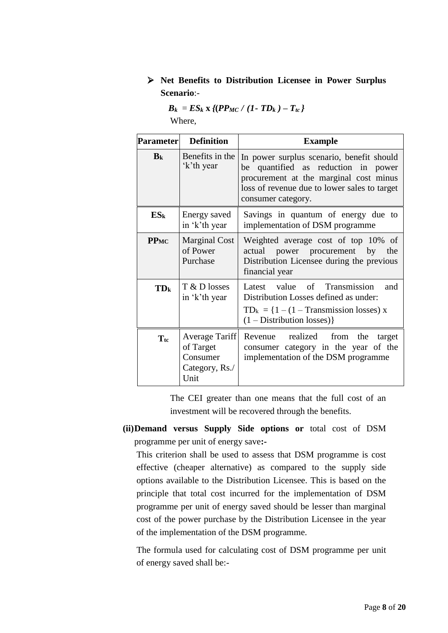## **Net Benefits to Distribution Licensee in Power Surplus Scenario**:-

|        | $B_k = ES_k$ x {(PP <sub>MC</sub> / (1- TD <sub>k</sub> ) - T <sub>tc</sub> } |
|--------|-------------------------------------------------------------------------------|
| Where, |                                                                               |

| <b>Parameter</b> | <b>Definition</b>                                                 | <b>Example</b>                                                                                                                                                                                      |
|------------------|-------------------------------------------------------------------|-----------------------------------------------------------------------------------------------------------------------------------------------------------------------------------------------------|
| B <sub>k</sub>   | Benefits in the<br>'k'th year                                     | In power surplus scenario, benefit should<br>quantified as reduction in power<br>be<br>procurement at the marginal cost minus<br>loss of revenue due to lower sales to target<br>consumer category. |
| $ES_{k}$         | Energy saved<br>in 'k'th year                                     | Savings in quantum of energy due to<br>implementation of DSM programme                                                                                                                              |
| <b>PPMC</b>      | <b>Marginal Cost</b><br>of Power<br>Purchase                      | Weighted average cost of top 10% of<br>actual power procurement<br>by<br>the<br>Distribution Licensee during the previous<br>financial year                                                         |
| TD <sub>k</sub>  | T & D losses<br>in 'k'th year                                     | Latest value of Transmission<br>and<br>Distribution Losses defined as under:<br>$TD_k = \{1 - (1 - Transmission losses) x\}$<br>$(1 - Distribution losses)$                                         |
| $T_{\text{tc}}$  | Average Tariff<br>of Target<br>Consumer<br>Category, Rs./<br>Unit | Revenue realized<br>from the<br>target<br>consumer category in the year of the<br>implementation of the DSM programme                                                                               |

 The CEI greater than one means that the full cost of an investment will be recovered through the benefits.

**(ii)Demand versus Supply Side options or** total cost of DSM programme per unit of energy save**:-**

 This criterion shall be used to assess that DSM programme is cost effective (cheaper alternative) as compared to the supply side principle that total cost incurred for the implementation of DSM programme per unit of energy saved should be lesser than marginal cost of the power purchase by the Distribution Licensee in the year options available to the Distribution Licensee. This is based on the of the implementation of the DSM programme.

 The formula used for calculating cost of DSM programme per unit of energy saved shall be:-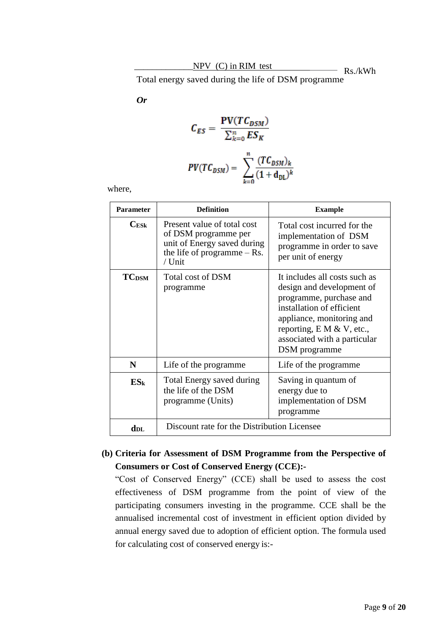Total energy saved during the life of DSM programme

*Or* 

$$
C_{ES} = \frac{\text{PV}(TC_{DSM})}{\sum_{k=0}^{n} ES_K}
$$

$$
\text{PV}(TC_{DSM}) = \sum_{k=0}^{n} \frac{(TC_{DSM})_k}{(1 + d_{DL})^k}
$$

where,

| <b>Parameter</b>         | <b>Definition</b>                                                                                                             | <b>Example</b>                                                                                                                                                                                                                   |
|--------------------------|-------------------------------------------------------------------------------------------------------------------------------|----------------------------------------------------------------------------------------------------------------------------------------------------------------------------------------------------------------------------------|
| $C_{ESk}$                | Present value of total cost<br>of DSM programme per<br>unit of Energy saved during<br>the life of programme $-$ Rs.<br>/ Unit | Total cost incurred for the<br>implementation of DSM<br>programme in order to save<br>per unit of energy                                                                                                                         |
| <b>TC</b> <sub>DSM</sub> | Total cost of DSM<br>programme                                                                                                | It includes all costs such as<br>design and development of<br>programme, purchase and<br>installation of efficient<br>appliance, monitoring and<br>reporting, $E M & V$ , etc.,<br>associated with a particular<br>DSM programme |
| N                        | Life of the programme.                                                                                                        | Life of the programme                                                                                                                                                                                                            |
| $ES_k$                   | <b>Total Energy saved during</b><br>the life of the DSM<br>programme (Units)                                                  | Saving in quantum of<br>energy due to<br>implementation of DSM<br>programme                                                                                                                                                      |
| $d_{\rm DL}$             | Discount rate for the Distribution Licensee                                                                                   |                                                                                                                                                                                                                                  |

### **(b) Criteria for Assessment of DSM Programme from the Perspective of Consumers or Cost of Conserved Energy (CCE):-**

 "Cost of Conserved Energy" (CCE) shall be used to assess the cost effectiveness of DSM programme from the point of view of the participating consumers investing in the programme. CCE shall be the annual energy saved due to adoption of efficient option. The formula used annualised incremental cost of investment in efficient option divided by for calculating cost of conserved energy is:-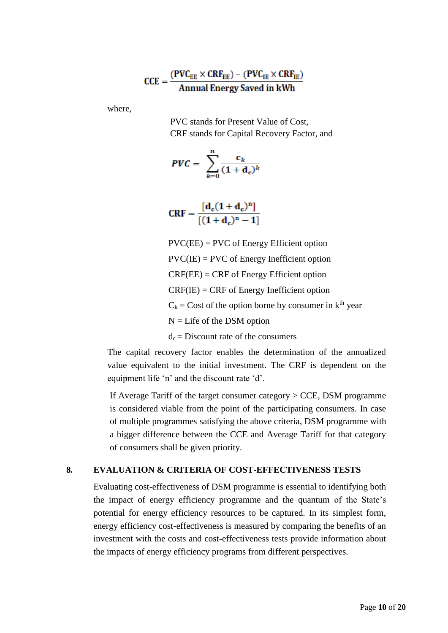$$
CCE = \frac{(PVC_{EE} \times CRF_{EE}) - (PVC_{IE} \times CRF_{IE})}{Annual Energy Saved in kWh}
$$

where,

PVC stands for Present Value of Cost, CRF stands for Capital Recovery Factor, and

$$
PVC = \sum_{k=0}^{n} \frac{c_k}{(1+\mathbf{d_c})^k}
$$

$$
CRF = \frac{[d_c(1+d_c)^n]}{[(1+d_c)^n - 1]}
$$

PVC(EE) = PVC of Energy Efficient option  $PVC(IE) = PVC$  of Energy Inefficient option CRF(EE) = CRF of Energy Efficient option CRF(IE) = CRF of Energy Inefficient option  $C_k$  = Cost of the option borne by consumer in  $k^{th}$  year N = Life of the DSM option  $d_c$  = Discount rate of the consumers

 value equivalent to the initial investment. The CRF is dependent on the The capital recovery factor enables the determination of the annualized equipment life 'n' and the discount rate 'd'.

 If Average Tariff of the target consumer category > CCE, DSM programme of multiple programmes satisfying the above criteria, DSM programme with a bigger difference between the CCE and Average Tariff for that category is considered viable from the point of the participating consumers. In case of consumers shall be given priority.

#### **8. EVALUATION & CRITERIA OF COST-EFFECTIVENESS TESTS**

 the impact of energy efficiency programme and the quantum of the State's potential for energy efficiency resources to be captured. In its simplest form, energy efficiency cost-effectiveness is measured by comparing the benefits of an Evaluating cost-effectiveness of DSM programme is essential to identifying both investment with the costs and cost-effectiveness tests provide information about the impacts of energy efficiency programs from different perspectives.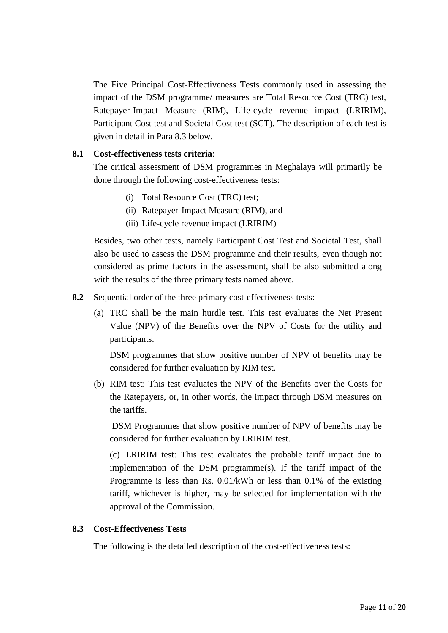The Five Principal Cost-Effectiveness Tests commonly used in assessing the impact of the DSM programme/ measures are Total Resource Cost (TRC) test, Ratepayer-Impact Measure (RIM), Life-cycle revenue impact (LRIRIM), Participant Cost test and Societal Cost test (SCT). The description of each test is given in detail in Para 8.3 below.

#### **8.1 Cost-effectiveness tests criteria**:

 The critical assessment of DSM programmes in Meghalaya will primarily be done through the following cost-effectiveness tests:

- (i) Total Resource Cost (TRC) test;
- (ii) Ratepayer-Impact Measure (RIM), and
- (iii) Life-cycle revenue impact (LRIRIM)

 also be used to assess the DSM programme and their results, even though not Besides, two other tests, namely Participant Cost Test and Societal Test, shall considered as prime factors in the assessment, shall be also submitted along with the results of the three primary tests named above.

- **8.2** Sequential order of the three primary cost-effectiveness tests:
	- (a) TRC shall be the main hurdle test. This test evaluates the Net Present Value (NPV) of the Benefits over the NPV of Costs for the utility and participants.

 DSM programmes that show positive number of NPV of benefits may be considered for further evaluation by RIM test.

 (b) RIM test: This test evaluates the NPV of the Benefits over the Costs for the Ratepayers, or, in other words, the impact through DSM measures on the tariffs.

 DSM Programmes that show positive number of NPV of benefits may be considered for further evaluation by LRIRIM test.

 (c) LRIRIM test: This test evaluates the probable tariff impact due to tariff, whichever is higher, may be selected for implementation with the implementation of the DSM programme(s). If the tariff impact of the Programme is less than Rs. 0.01/kWh or less than 0.1% of the existing approval of the Commission.

#### **8.3 Cost-Effectiveness Tests**

The following is the detailed description of the cost-effectiveness tests: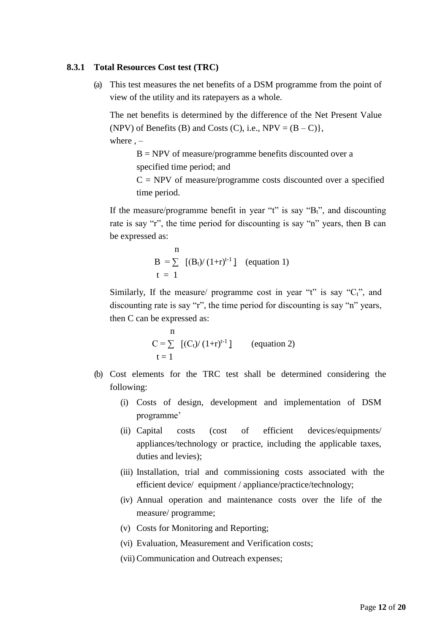#### **8.3.1 Total Resources Cost test (TRC)**

 (a) This test measures the net benefits of a DSM programme from the point of view of the utility and its ratepayers as a whole.

 The net benefits is determined by the difference of the Net Present Value (NPV) of Benefits (B) and Costs (C), i.e.,  $NPV = (B - C)$ , where  $, -$ 

 $B = NPV$  of measure/programme benefits discounted over a specified time period; and

 $C = NPV$  of measure/programme costs discounted over a specified time period.

If the measure/programme benefit in year "t" is say " $B_t$ ", and discounting rate is say "r", the time period for discounting is say "n" years, then B can be expressed as:

$$
\begin{array}{ll}\n\text{n} \\
B = \sum_{t=1}^{\infty} \left[ \frac{B_t}{(1+r)^{t-1}} \right] \quad \text{(equation 1)}\n\end{array}
$$

Similarly, If the measure/ programme cost in year "t" is say " $C_t$ ", and discounting rate is say "r", the time period for discounting is say "n" years, then C can be expressed as:

n  
\n
$$
C = \sum_{t=1}^{n} [(C_t) / (1+r)^{t-1}]
$$
 (equation 2)  
\n $t = 1$ 

- (b) Cost elements for the TRC test shall be determined considering the following:
	- (i) Costs of design, development and implementation of DSM programme'
	- costs appliances/technology or practice, including the applicable taxes, (ii) Capital costs (cost of efficient devices/equipments/ duties and levies);
	- (iii) Installation, trial and commissioning costs associated with the efficient device/ equipment / appliance/practice/technology;
	- (iv) Annual operation and maintenance costs over the life of the measure/ programme;
	- (v) Costs for Monitoring and Reporting;
	- (vi) Evaluation, Measurement and Verification costs;
	- (vii) Communication and Outreach expenses;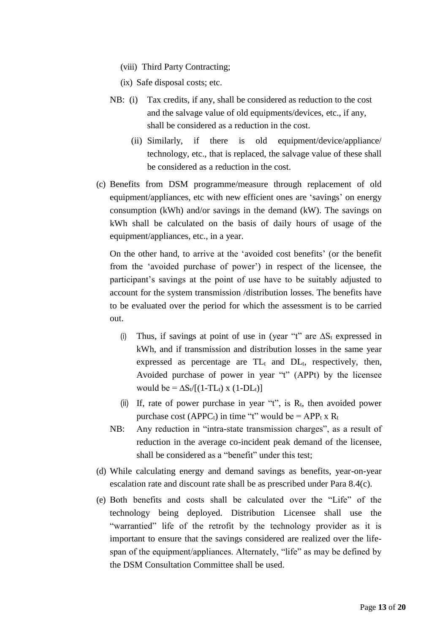(viii) Third Party Contracting;

(ix) Safe disposal costs; etc.

- NB: (i) Tax credits, if any, shall be considered as reduction to the cost and the salvage value of old equipments/devices, etc., if any, shall be considered as a reduction in the cost.
	- technology, etc., that is replaced, the salvage value of these shall (ii) Similarly, if there is old equipment/device/appliance/ be considered as a reduction in the cost.
- kWh shall be calculated on the basis of daily hours of usage of the (c) Benefits from DSM programme/measure through replacement of old equipment/appliances, etc with new efficient ones are 'savings' on energy consumption (kWh) and/or savings in the demand (kW). The savings on equipment/appliances, etc., in a year.

 On the other hand, to arrive at the 'avoided cost benefits' (or the benefit from the 'avoided purchase of power') in respect of the licensee, the participant's savings at the point of use have to be suitably adjusted to account for the system transmission /distribution losses. The benefits have to be evaluated over the period for which the assessment is to be carried out.

- (i) Thus, if savings at point of use in (year "t" are  $\Delta S_t$  expressed in kWh, and if transmission and distribution losses in the same year expressed as percentage are  $TL_t$  and  $DL_t$ , respectively, then, Avoided purchase of power in year "t" (APPt) by the licensee would be =  $\Delta S_t/[(1-TL_t) \times (1-DL_t)]$
- (ii) If, rate of power purchase in year "t", is  $R_t$ , then avoided power purchase cost (APPC<sub>t</sub>) in time "t" would be = APP<sub>t</sub> x R<sub>t</sub>
- NB: Any reduction in "intra-state transmission charges", as a result of reduction in the average co-incident peak demand of the licensee, shall be considered as a "benefit" under this test;
- (d) While calculating energy and demand savings as benefits, year-on-year escalation rate and discount rate shall be as prescribed under Para 8.4(c).
- (e) Both benefits and costs shall be calculated over the "Life" of the technology being deployed. Distribution Licensee shall use the "warrantied" life of the retrofit by the technology provider as it is span of the equipment/appliances. Alternately, "life" as may be defined by important to ensure that the savings considered are realized over the lifethe DSM Consultation Committee shall be used.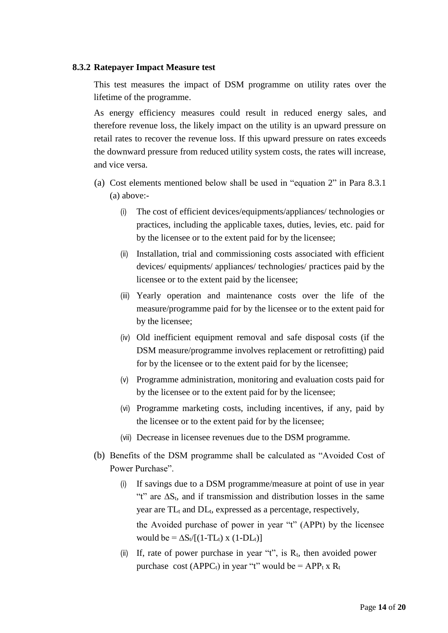#### **8.3.2 Ratepayer Impact Measure test**

 This test measures the impact of DSM programme on utility rates over the lifetime of the programme.

 As energy efficiency measures could result in reduced energy sales, and therefore revenue loss, the likely impact on the utility is an upward pressure on the downward pressure from reduced utility system costs, the rates will increase, retail rates to recover the revenue loss. If this upward pressure on rates exceeds and vice versa.

- (a) Cost elements mentioned below shall be used in "equation 2" in Para 8.3.1 (a) above:-
	- (i) The cost of efficient devices/equipments/appliances/ technologies or practices, including the applicable taxes, duties, levies, etc. paid for by the licensee or to the extent paid for by the licensee;
	- (ii) Installation, trial and commissioning costs associated with efficient devices/ equipments/ appliances/ technologies/ practices paid by the licensee or to the extent paid by the licensee;
	- (iii) Yearly operation and maintenance costs over the life of the measure/programme paid for by the licensee or to the extent paid for by the licensee;
	- (iv) Old inefficient equipment removal and safe disposal costs (if the DSM measure/programme involves replacement or retrofitting) paid for by the licensee or to the extent paid for by the licensee;
	- (v) Programme administration, monitoring and evaluation costs paid for by the licensee or to the extent paid for by the licensee;
	- (vi) Programme marketing costs, including incentives, if any, paid by the licensee or to the extent paid for by the licensee;
	- (vii) Decrease in licensee revenues due to the DSM programme.
- (b) Benefits of the DSM programme shall be calculated as "Avoided Cost of Power Purchase".
	- (i) If savings due to a DSM programme/measure at point of use in year the Avoided purchase of power in year "t" (APPt) by the licensee "t" are ∆St, and if transmission and distribution losses in the same year are  $TL_t$  and  $DL_t$ , expressed as a percentage, respectively, would be =  $\Delta S_t/[(1-TL_t) \times (1-DL_t)]$
	- (ii) If, rate of power purchase in year "t", is  $R_t$ , then avoided power purchase cost (APPC<sub>t</sub>) in year "t" would be = APP<sub>t</sub> x R<sub>t</sub>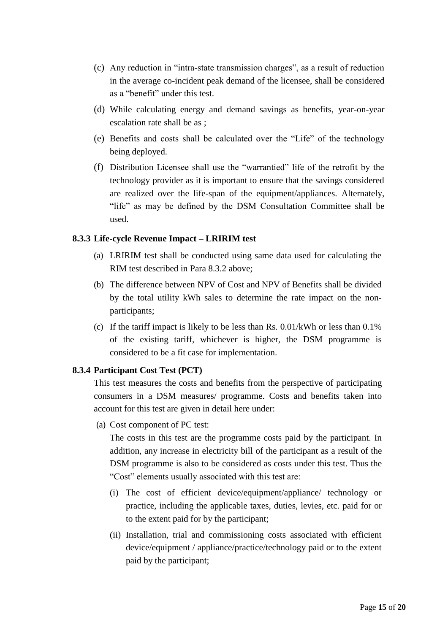- (c) Any reduction in "intra-state transmission charges", as a result of reduction in the average co-incident peak demand of the licensee, shall be considered as a "benefit" under this test.
- (d) While calculating energy and demand savings as benefits, year-on-year escalation rate shall be as ;
- (e) Benefits and costs shall be calculated over the "Life" of the technology being deployed.
- (f) Distribution Licensee shall use the "warrantied" life of the retrofit by the "life" as may be defined by the DSM Consultation Committee shall be technology provider as it is important to ensure that the savings considered are realized over the life-span of the equipment/appliances. Alternately, used.

#### **8.3.3 Life-cycle Revenue Impact – LRIRIM test**

- (a) LRIRIM test shall be conducted using same data used for calculating the RIM test described in Para 8.3.2 above;
- (b) The difference between NPV of Cost and NPV of Benefits shall be divided by the total utility kWh sales to determine the rate impact on the nonparticipants;
- (c) If the tariff impact is likely to be less than Rs.  $0.01/kWh$  or less than  $0.1\%$  of the existing tariff, whichever is higher, the DSM programme is considered to be a fit case for implementation.

#### **8.3.4 Participant Cost Test (PCT)**

This test measures the costs and benefits from the perspective of participating consumers in a DSM measures/ programme. Costs and benefits taken into account for this test are given in detail here under:

(a) Cost component of PC test:

 The costs in this test are the programme costs paid by the participant. In addition, any increase in electricity bill of the participant as a result of the DSM programme is also to be considered as costs under this test. Thus the "Cost" elements usually associated with this test are:

- (i) The cost of efficient device/equipment/appliance/ technology or practice, including the applicable taxes, duties, levies, etc. paid for or to the extent paid for by the participant;
- (ii) Installation, trial and commissioning costs associated with efficient device/equipment / appliance/practice/technology paid or to the extent paid by the participant;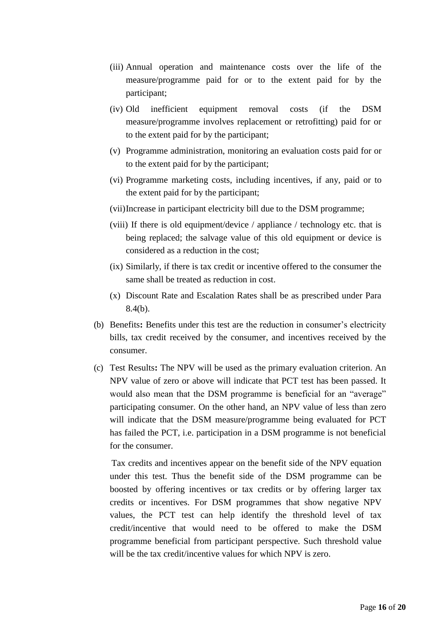- (iii) Annual operation and maintenance costs over the life of the measure/programme paid for or to the extent paid for by the participant;
- (iv) Old inefficient equipment removal costs (if the DSM measure/programme involves replacement or retrofitting) paid for or to the extent paid for by the participant;
- (v) Programme administration, monitoring an evaluation costs paid for or to the extent paid for by the participant;
- (vi) Programme marketing costs, including incentives, if any, paid or to the extent paid for by the participant;
- (vii)Increase in participant electricity bill due to the DSM programme;
- (viii) If there is old equipment/device / appliance / technology etc. that is being replaced; the salvage value of this old equipment or device is considered as a reduction in the cost;
- (ix) Similarly, if there is tax credit or incentive offered to the consumer the same shall be treated as reduction in cost.
- (x) Discount Rate and Escalation Rates shall be as prescribed under Para 8.4(b).
- bills, tax credit received by the consumer, and incentives received by the (b) Benefits**:** Benefits under this test are the reduction in consumer's electricity consumer.
- (c) Test Results**:** The NPV will be used as the primary evaluation criterion. An NPV value of zero or above will indicate that PCT test has been passed. It would also mean that the DSM programme is beneficial for an "average" will indicate that the DSM measure/programme being evaluated for PCT participating consumer. On the other hand, an NPV value of less than zero has failed the PCT, i.e. participation in a DSM programme is not beneficial for the consumer.

 under this test. Thus the benefit side of the DSM programme can be boosted by offering incentives or tax credits or by offering larger tax values, the PCT test can help identify the threshold level of tax credit/incentive that would need to be offered to make the DSM Tax credits and incentives appear on the benefit side of the NPV equation credits or incentives. For DSM programmes that show negative NPV programme beneficial from participant perspective. Such threshold value will be the tax credit/incentive values for which NPV is zero.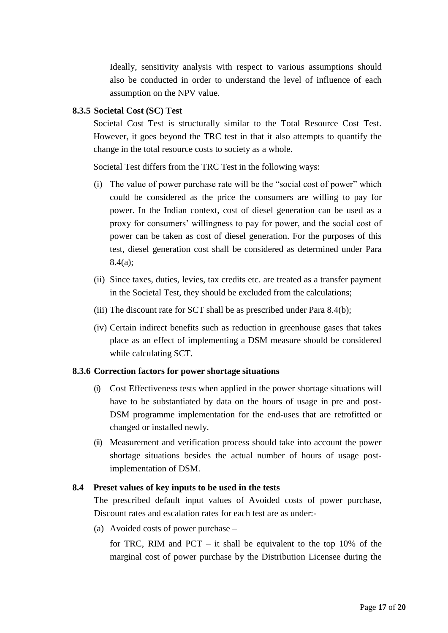also be conducted in order to understand the level of influence of each Ideally, sensitivity analysis with respect to various assumptions should assumption on the NPV value.

#### **8.3.5 Societal Cost (SC) Test**

 However, it goes beyond the TRC test in that it also attempts to quantify the Societal Cost Test is structurally similar to the Total Resource Cost Test. change in the total resource costs to society as a whole.

Societal Test differs from the TRC Test in the following ways:

- (i) The value of power purchase rate will be the "social cost of power" which could be considered as the price the consumers are willing to pay for power. In the Indian context, cost of diesel generation can be used as a proxy for consumers' willingness to pay for power, and the social cost of power can be taken as cost of diesel generation. For the purposes of this test, diesel generation cost shall be considered as determined under Para 8.4(a);
- (ii) Since taxes, duties, levies, tax credits etc. are treated as a transfer payment in the Societal Test, they should be excluded from the calculations;
- (iii) The discount rate for SCT shall be as prescribed under Para 8.4(b);
- place as an effect of implementing a DSM measure should be considered (iv) Certain indirect benefits such as reduction in greenhouse gases that takes while calculating SCT.

#### **8.3.6 Correction factors for power shortage situations**

- have to be substantiated by data on the hours of usage in pre and post-(i) Cost Effectiveness tests when applied in the power shortage situations will DSM programme implementation for the end-uses that are retrofitted or changed or installed newly.
- (ii) Measurement and verification process should take into account the power shortage situations besides the actual number of hours of usage postimplementation of DSM.

#### **8.4 Preset values of key inputs to be used in the tests**

 The prescribed default input values of Avoided costs of power purchase, Discount rates and escalation rates for each test are as under:-

(a) Avoided costs of power purchase –

for TRC, RIM and  $PCT - it$  shall be equivalent to the top 10% of the marginal cost of power purchase by the Distribution Licensee during the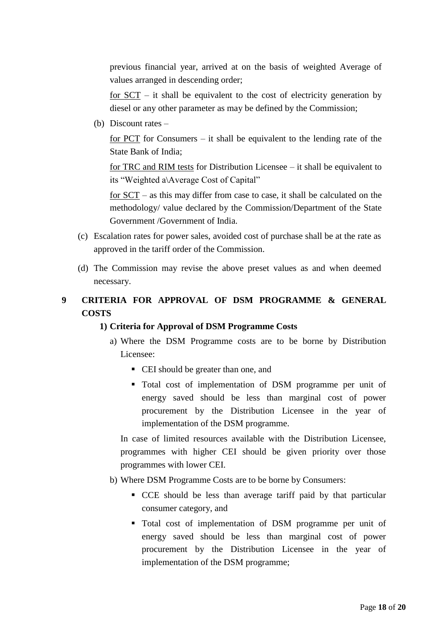previous financial year, arrived at on the basis of weighted Average of values arranged in descending order;

for  $SCT$  – it shall be equivalent to the cost of electricity generation by diesel or any other parameter as may be defined by the Commission;

(b) Discount rates  $-$ 

 for PCT for Consumers – it shall be equivalent to the lending rate of the State Bank of India;

 for TRC and RIM tests for Distribution Licensee – it shall be equivalent to its "Weighted a\Average Cost of Capital"

 for SCT – as this may differ from case to case, it shall be calculated on the methodology/ value declared by the Commission/Department of the State Government /Government of India.

- (c) Escalation rates for power sales, avoided cost of purchase shall be at the rate as approved in the tariff order of the Commission.
- (d) The Commission may revise the above preset values as and when deemed necessary.

## **9 CRITERIA FOR APPROVAL OF DSM PROGRAMME & GENERAL COSTS**

#### **1) Criteria for Approval of DSM Programme Costs**

- a) Where the DSM Programme costs are to be borne by Distribution Licensee:
	- CEI should be greater than one, and
	- Total cost of implementation of DSM programme per unit of energy saved should be less than marginal cost of power procurement by the Distribution Licensee in the year of implementation of the DSM programme.

 In case of limited resources available with the Distribution Licensee, programmes with higher CEI should be given priority over those programmes with lower CEI.

- b) Where DSM Programme Costs are to be borne by Consumers:
	- CCE should be less than average tariff paid by that particular consumer category, and
	- Total cost of implementation of DSM programme per unit of energy saved should be less than marginal cost of power procurement by the Distribution Licensee in the year of implementation of the DSM programme;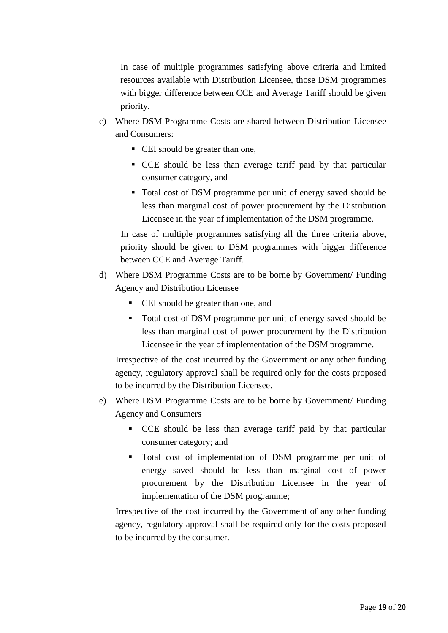In case of multiple programmes satisfying above criteria and limited with bigger difference between CCE and Average Tariff should be given resources available with Distribution Licensee, those DSM programmes priority.

- c) Where DSM Programme Costs are shared between Distribution Licensee and Consumers:
	- CEI should be greater than one,
	- CCE should be less than average tariff paid by that particular consumer category, and
	- Total cost of DSM programme per unit of energy saved should be less than marginal cost of power procurement by the Distribution Licensee in the year of implementation of the DSM programme.

 In case of multiple programmes satisfying all the three criteria above, priority should be given to DSM programmes with bigger difference between CCE and Average Tariff.

- d) Where DSM Programme Costs are to be borne by Government/ Funding Agency and Distribution Licensee
	- CEI should be greater than one, and
	- Total cost of DSM programme per unit of energy saved should be less than marginal cost of power procurement by the Distribution Licensee in the year of implementation of the DSM programme.

 Irrespective of the cost incurred by the Government or any other funding agency, regulatory approval shall be required only for the costs proposed to be incurred by the Distribution Licensee.

- e) Where DSM Programme Costs are to be borne by Government/ Funding Agency and Consumers
	- CCE should be less than average tariff paid by that particular consumer category; and
	- Total cost of implementation of DSM programme per unit of energy saved should be less than marginal cost of power procurement by the Distribution Licensee in the year of implementation of the DSM programme;

 Irrespective of the cost incurred by the Government of any other funding agency, regulatory approval shall be required only for the costs proposed to be incurred by the consumer.